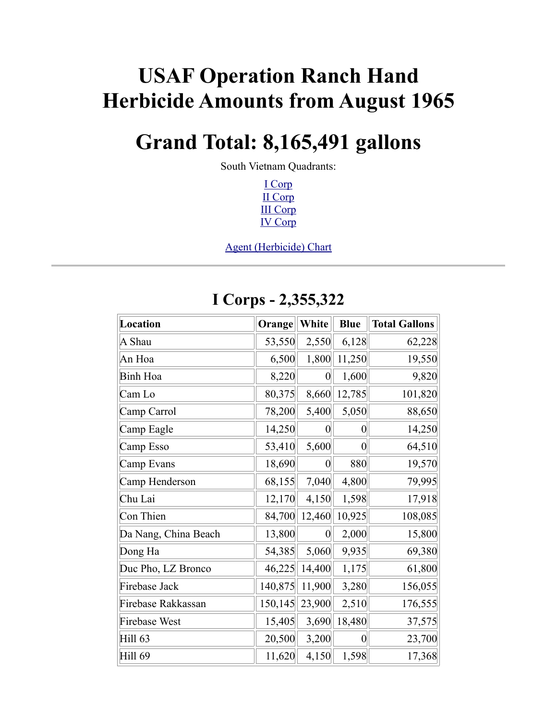# **USAF Operation Ranch Hand Herbicide Amounts from August 1965**

## **Grand Total: 8,165,491 gallons**

South Vietnam Quadrants:

<span id="page-0-4"></span><span id="page-0-3"></span><span id="page-0-2"></span><span id="page-0-1"></span><span id="page-0-0"></span>[I Corp](#page-0-0) [II Corp](#page-0-4) [III Corp](#page-0-3) [IV Corp](#page-0-2)

[Agent \(Herbicide\) Chart](#page-0-1)

| Location             | Orange  | White            | <b>Blue</b>    | <b>Total Gallons</b> |
|----------------------|---------|------------------|----------------|----------------------|
| A Shau               | 53,550  | 2,550            | 6,128          | 62,228               |
| An Hoa               | 6,500   | 1,800            | 11,250         | 19,550               |
| Binh Hoa             | 8,220   | $\boldsymbol{0}$ | 1,600          | 9,820                |
| Cam Lo               | 80,375  | 8,660            | 12,785         | 101,820              |
| Camp Carrol          | 78,200  | 5,400            | 5,050          | 88,650               |
| Camp Eagle           | 14,250  | 0                | 0              | 14,250               |
| Camp Esso            | 53,410  | 5,600            | $\overline{0}$ | 64,510               |
| Camp Evans           | 18,690  | $\boldsymbol{0}$ | 880            | 19,570               |
| Camp Henderson       | 68,155  | 7,040            | 4,800          | 79,995               |
| Chu Lai              | 12,170  | 4,150            | 1,598          | 17,918               |
| Con Thien            | 84,700  | 12,460           | 10,925         | 108,085              |
| Da Nang, China Beach | 13,800  | $\overline{0}$   | 2,000          | 15,800               |
| Dong Ha              | 54,385  | 5,060            | 9,935          | 69,380               |
| Duc Pho, LZ Bronco   | 46,225  | 14,400           | 1,175          | 61,800               |
| Firebase Jack        | 140,875 | 11,900           | 3,280          | 156,055              |
| Firebase Rakkassan   | 150,145 | 23,900           | 2,510          | 176,555              |
| Firebase West        | 15,405  | 3,690            | 18,480         | 37,575               |
| Hill 63              | 20,500  | 3,200            | $\overline{0}$ | 23,700               |
| <b>Hill 69</b>       | 11,620  | 4,150            | 1,598          | 17,368               |

#### **I Corps - 2,355,322**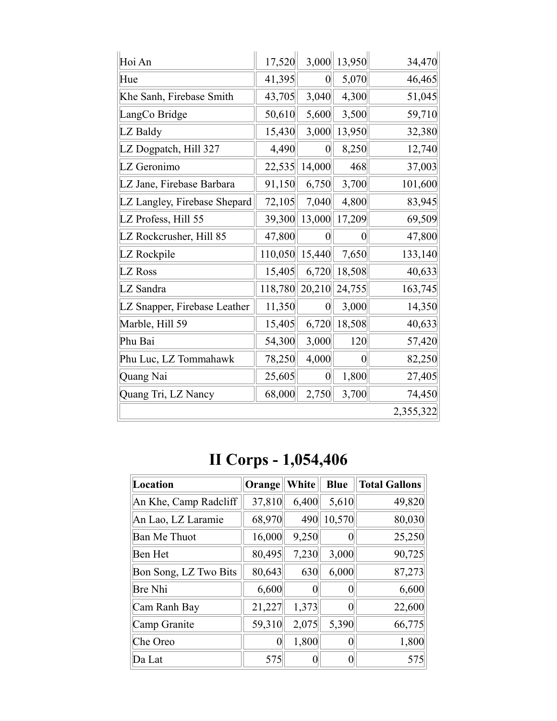| Hoi An                       | 17,520  | 3,000            | 13,950         | 34,470    |
|------------------------------|---------|------------------|----------------|-----------|
| Hue                          | 41,395  | $\overline{0}$   | 5,070          | 46,465    |
| Khe Sanh, Firebase Smith     | 43,705  | 3,040            | 4,300          | 51,045    |
| LangCo Bridge                | 50,610  | 5,600            | 3,500          | 59,710    |
| LZ Baldy                     | 15,430  | 3,000            | 13,950         | 32,380    |
| LZ Dogpatch, Hill 327        | 4,490   | $\overline{0}$   | 8,250          | 12,740    |
| LZ Geronimo                  | 22,535  | 14,000           | 468            | 37,003    |
| LZ Jane, Firebase Barbara    | 91,150  | 6,750            | 3,700          | 101,600   |
| LZ Langley, Firebase Shepard | 72,105  | 7,040            | 4,800          | 83,945    |
| LZ Profess, Hill 55          | 39,300  | 13,000           | 17,209         | 69,509    |
| LZ Rockcrusher, Hill 85      | 47,800  | $\overline{0}$   | 0              | 47,800    |
| LZ Rockpile                  | 110,050 | 15,440           | 7,650          | 133,140   |
| LZ Ross                      | 15,405  | 6,720            | 18,508         | 40,633    |
| LZ Sandra                    | 118,780 | 20,210           | 24,755         | 163,745   |
| LZ Snapper, Firebase Leather | 11,350  | $\boldsymbol{0}$ | 3,000          | 14,350    |
| Marble, Hill 59              | 15,405  | 6,720            | 18,508         | 40,633    |
| Phu Bai                      | 54,300  | 3,000            | 120            | 57,420    |
| Phu Luc, LZ Tommahawk        | 78,250  | 4,000            | $\overline{0}$ | 82,250    |
| Quang Nai                    | 25,605  | $\boldsymbol{0}$ | 1,800          | 27,405    |
| Quang Tri, LZ Nancy          | 68,000  | 2,750            | 3,700          | 74,450    |
|                              |         |                  |                | 2,355,322 |

## **II Corps - 1,054,406**

| Location              | Orange | White | <b>Blue</b> | <b>Total Gallons</b> |
|-----------------------|--------|-------|-------------|----------------------|
| An Khe, Camp Radcliff | 37,810 | 6,400 | 5,610       | 49,820               |
| An Lao, LZ Laramie    | 68,970 | 490   | 10,570      | 80,030               |
| <b>Ban Me Thuot</b>   | 16,000 | 9,250 |             | 25,250               |
| Ben Het               | 80,495 | 7,230 | 3,000       | 90,725               |
| Bon Song, LZ Two Bits | 80,643 | 630   | 6,000       | 87,273               |
| <b>Bre Nhi</b>        | 6,600  |       |             | 6,600                |
| Cam Ranh Bay          | 21,227 | 1,373 |             | 22,600               |
| Camp Granite          | 59,310 | 2,075 | 5,390       | 66,775               |
| Che Oreo              | 0      | 1,800 |             | 1,800                |
| Da Lat                | 575    |       |             | 575                  |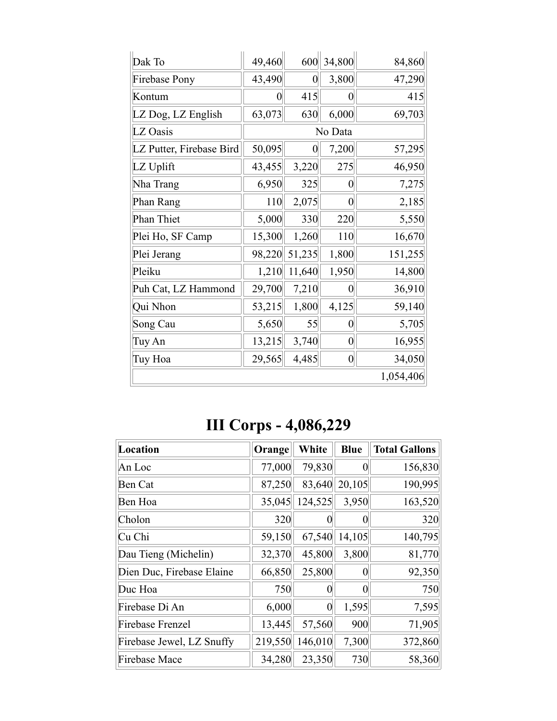| Dak To                   | 49,460 | 600              | 34,800           | 84,860    |
|--------------------------|--------|------------------|------------------|-----------|
| <b>Firebase Pony</b>     | 43,490 | $\boldsymbol{0}$ | 3,800            | 47,290    |
| Kontum                   | 0      | 415              | 0                | 415       |
| LZ Dog, LZ English       | 63,073 | 630              | 6,000            | 69,703    |
| LZ Oasis                 |        |                  | No Data          |           |
| LZ Putter, Firebase Bird | 50,095 | $\boldsymbol{0}$ | 7,200            | 57,295    |
| LZ Uplift                | 43,455 | 3,220            | 275              | 46,950    |
| Nha Trang                | 6,950  | 325              | $\boldsymbol{0}$ | 7,275     |
| Phan Rang                | 110    | 2,075            | $\boldsymbol{0}$ | 2,185     |
| <b>Phan Thiet</b>        | 5,000  | 330              | 220              | 5,550     |
| Plei Ho, SF Camp         | 15,300 | 1,260            | 110              | 16,670    |
| Plei Jerang              | 98,220 | 51,235           | 1,800            | 151,255   |
| Pleiku                   | 1,210  | 11,640           | 1,950            | 14,800    |
| Puh Cat, LZ Hammond      | 29,700 | 7,210            | 0                | 36,910    |
| Qui Nhon                 | 53,215 | 1,800            | 4,125            | 59,140    |
| Song Cau                 | 5,650  | 55               | 0                | 5,705     |
| Tuy An                   | 13,215 | 3,740            | $\overline{0}$   | 16,955    |
| Tuy Hoa                  | 29,565 | 4,485            | $\boldsymbol{0}$ | 34,050    |
|                          |        |                  |                  | 1,054,406 |

### **III Corps - 4,086,229**

| <b>Location</b>           | Orange  | White    | <b>Blue</b> | <b>Total Gallons</b> |
|---------------------------|---------|----------|-------------|----------------------|
| An Loc                    | 77,000  | 79,830   |             | 156,830              |
| <b>Ben Cat</b>            | 87,250  | 83,640   | 20,105      | 190,995              |
| Ben Hoa                   | 35,045  | 124,525  | 3,950       | 163,520              |
| Cholon                    | 320     |          |             | 320                  |
| Cu Chi                    | 59,150  | 67,540   | 14,105      | 140,795              |
| Dau Tieng (Michelin)      | 32,370  | 45,800   | 3,800       | 81,770               |
| Dien Duc, Firebase Elaine | 66,850  | 25,800   |             | 92,350               |
| Duc Hoa                   | 750     | 0        |             | 750                  |
| Firebase Di An            | 6,000   | $\theta$ | 1,595       | 7,595                |
| <b>Firebase Frenzel</b>   | 13,445  | 57,560   | 900         | 71,905               |
| Firebase Jewel, LZ Snuffy | 219,550 | 146,010  | 7,300       | 372,860              |
| <b>Firebase Mace</b>      | 34,280  | 23,350   | 730         | 58,360               |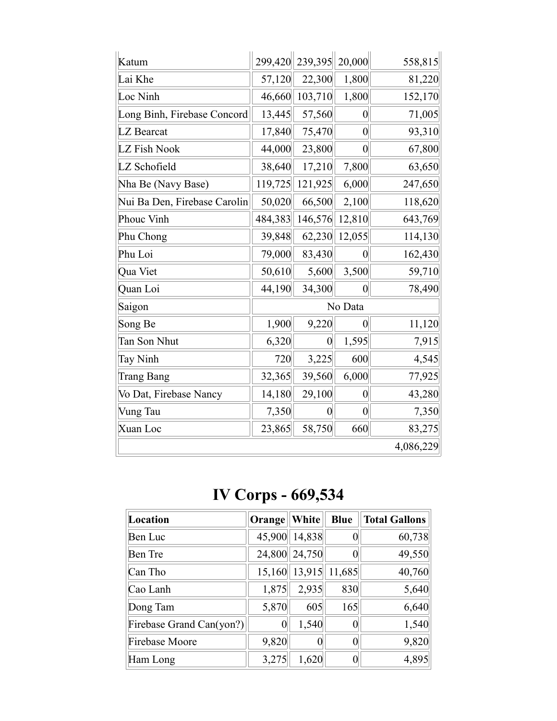| Katum                        | 299,420 | 239,395 20,000 |                  | 558,815   |
|------------------------------|---------|----------------|------------------|-----------|
| Lai Khe                      | 57,120  | 22,300         | 1,800            | 81,220    |
| Loc Ninh                     | 46,660  | 103,710        | 1,800            | 152,170   |
| Long Binh, Firebase Concord  | 13,445  | 57,560         | $\boldsymbol{0}$ | 71,005    |
| LZ Bearcat                   | 17,840  | 75,470         | $\overline{0}$   | 93,310    |
| LZ Fish Nook                 | 44,000  | 23,800         | $\overline{0}$   | 67,800    |
| LZ Schofield                 | 38,640  | 17,210         | 7,800            | 63,650    |
| Nha Be (Navy Base)           | 119,725 | 121,925        | 6,000            | 247,650   |
| Nui Ba Den, Firebase Carolin | 50,020  | 66,500         | 2,100            | 118,620   |
| Phouc Vinh                   | 484,383 | 146,576        | 12,810           | 643,769   |
| Phu Chong                    | 39,848  | 62,230         | 12,055           | 114,130   |
| Phu Loi                      | 79,000  | 83,430         | $\boldsymbol{0}$ | 162,430   |
| Qua Viet                     | 50,610  | 5,600          | 3,500            | 59,710    |
| Quan Loi                     | 44,190  | 34,300         | $\boldsymbol{0}$ | 78,490    |
| Saigon                       |         |                | No Data          |           |
| Song Be                      | 1,900   | 9,220          | $\overline{0}$   | 11,120    |
| Tan Son Nhut                 | 6,320   | $\overline{0}$ | 1,595            | 7,915     |
| Tay Ninh                     | 720     | 3,225          | 600              | 4,545     |
| <b>Trang Bang</b>            | 32,365  | 39,560         | 6,000            | 77,925    |
| Vo Dat, Firebase Nancy       | 14,180  | 29,100         | $\overline{0}$   | 43,280    |
| Vung Tau                     | 7,350   | $\theta$       | $\boldsymbol{0}$ | 7,350     |
| Xuan Loc                     | 23,865  | 58,750         | 660              | 83,275    |
|                              |         |                |                  | 4,086,229 |

**IV Corps - 669,534**

| Location                 | Orange   White |                      | <b>Blue</b> | <b>Total Gallons</b> |
|--------------------------|----------------|----------------------|-------------|----------------------|
| Ben Luc                  |                | 45,900 14,838        | 0           | 60,738               |
| <b>Ben</b> Tre           |                | 24,800 24,750        |             | 49,550               |
| Can Tho                  |                | 15,160 13,915 11,685 |             | 40,760               |
| Cao Lanh                 | 1,875          | 2,935                | 830         | 5,640                |
| Dong Tam                 | 5,870          | 605                  | 165         | 6,640                |
| Firebase Grand Can(yon?) |                | 1,540                | 0           | 1,540                |
| Firebase Moore           | 9,820          |                      | 0           | 9,820                |
| Ham Long                 | 3,275          | 1,620                |             | 4,895                |